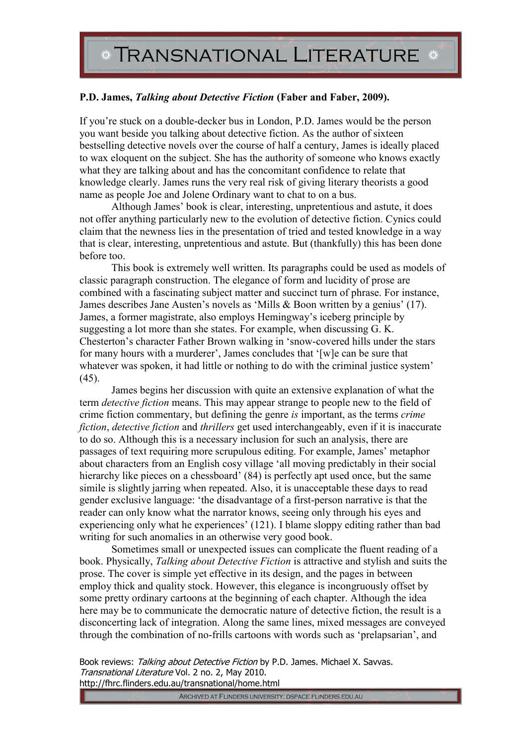## **P.D. James,** *Talking about Detective Fiction* **(Faber and Faber, 2009).**

If you're stuck on a double-decker bus in London, P.D. James would be the person you want beside you talking about detective fiction. As the author of sixteen bestselling detective novels over the course of half a century, James is ideally placed to wax eloquent on the subject. She has the authority of someone who knows exactly what they are talking about and has the concomitant confidence to relate that knowledge clearly. James runs the very real risk of giving literary theorists a good name as people Joe and Jolene Ordinary want to chat to on a bus.

Although James' book is clear, interesting, unpretentious and astute, it does not offer anything particularly new to the evolution of detective fiction. Cynics could claim that the newness lies in the presentation of tried and tested knowledge in a way that is clear, interesting, unpretentious and astute. But (thankfully) this has been done before too.

This book is extremely well written. Its paragraphs could be used as models of classic paragraph construction. The elegance of form and lucidity of prose are combined with a fascinating subject matter and succinct turn of phrase. For instance, James describes Jane Austen's novels as 'Mills & Boon written by a genius' (17). James, a former magistrate, also employs Hemingway's iceberg principle by suggesting a lot more than she states. For example, when discussing G. K. Chesterton's character Father Brown walking in 'snow-covered hills under the stars for many hours with a murderer', James concludes that '[w]e can be sure that whatever was spoken, it had little or nothing to do with the criminal justice system'  $(45)$ .

James begins her discussion with quite an extensive explanation of what the term *detective fiction* means. This may appear strange to people new to the field of crime fiction commentary, but defining the genre *is* important, as the terms *crime fiction*, *detective fiction* and *thrillers* get used interchangeably, even if it is inaccurate to do so. Although this is a necessary inclusion for such an analysis, there are passages of text requiring more scrupulous editing. For example, James' metaphor about characters from an English cosy village 'all moving predictably in their social hierarchy like pieces on a chessboard'  $(84)$  is perfectly apt used once, but the same simile is slightly jarring when repeated. Also, it is unacceptable these days to read gender exclusive language: 'the disadvantage of a first-person narrative is that the reader can only know what the narrator knows, seeing only through his eyes and experiencing only what he experiences' (121). I blame sloppy editing rather than bad writing for such anomalies in an otherwise very good book.

Sometimes small or unexpected issues can complicate the fluent reading of a book. Physically, *Talking about Detective Fiction* is attractive and stylish and suits the prose. The cover is simple yet effective in its design, and the pages in between employ thick and quality stock. However, this elegance is incongruously offset by some pretty ordinary cartoons at the beginning of each chapter. Although the idea here may be to communicate the democratic nature of detective fiction, the result is a disconcerting lack of integration. Along the same lines, mixed messages are conveyed through the combination of no-frills cartoons with words such as 'prelapsarian', and

Book reviews: Talking about Detective Fiction by P.D. James. Michael X. Savvas. Transnational Literature Vol. 2 no. 2, May 2010.

http://fhrc.flinders.edu.au/transnational/home.html

ARCHIVED AT FLINDERS UNIVERSITY: DSPACE.FLINDERS.EDU.AU